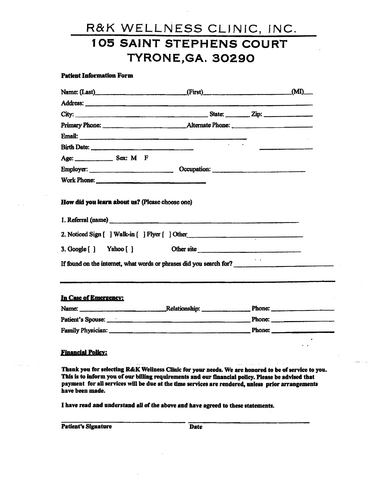#### Patleat Information Form

|                       | Name: (Last) (First) (First)                                        | (MI) |
|-----------------------|---------------------------------------------------------------------|------|
|                       |                                                                     |      |
|                       |                                                                     |      |
|                       |                                                                     |      |
|                       |                                                                     |      |
|                       |                                                                     |      |
|                       |                                                                     |      |
|                       | Employer: Cocupation: Cocupation:                                   |      |
|                       |                                                                     |      |
|                       | 1. Referral (name)                                                  |      |
|                       | 2. Noticed Sign [ ] Walk-in [ ] Flyer [ ] Other                     |      |
|                       | 3. Google [] Yahoo [] Other site                                    |      |
|                       | If found on the internet, what words or phrases did you search for? |      |
|                       |                                                                     |      |
| In Case of Emergency: |                                                                     |      |
|                       | Name: Relationship: Phone: Phone:                                   |      |

| Name:                    | Relationship: | <b>Phone:</b> |  |
|--------------------------|---------------|---------------|--|
| Patient's Spouse:        |               | <b>Phone:</b> |  |
| <b>Family Physician:</b> |               | <b>Phone:</b> |  |

#### Financial Policy:

Thank you for selecting R&K Wellness Clinic for your needs. We are honored to be of service to you. This is to inform you of our billing requirements and our financial policy. Please be advised that payment for all services will be due at the time services are rendered, unless prior arrangements have been made.

I have read and understand all of the above and have agreed to these statements.

| <b>Patient's Signature</b> |  | <b>Date</b> |  |
|----------------------------|--|-------------|--|
|----------------------------|--|-------------|--|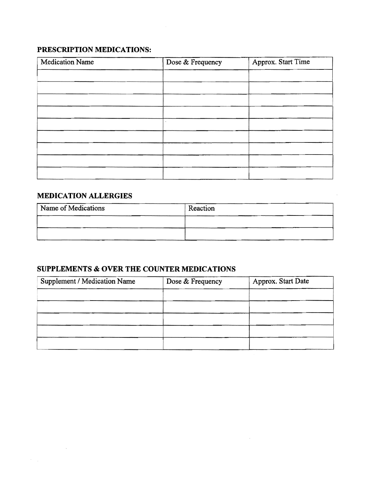### **PRESCRIPTION MEDICATIONS:**

| Medication Name | Dose & Frequency | Approx. Start Time |
|-----------------|------------------|--------------------|
|                 |                  |                    |
|                 |                  |                    |
|                 |                  |                    |
|                 |                  |                    |
|                 |                  |                    |
|                 |                  |                    |
|                 |                  |                    |
|                 |                  |                    |
|                 |                  |                    |

### **MEDICATION ALLERGIES**

 $\sim$   $\sim$ 

| Name of Medications | Reaction |
|---------------------|----------|
|                     |          |
|                     |          |
|                     |          |

### **SUPPLEMENTS & OVER THE COUNTER MEDICATIONS**

| Supplement / Medication Name | Dose & Frequency | Approx. Start Date |
|------------------------------|------------------|--------------------|
|                              |                  |                    |
|                              |                  |                    |
|                              |                  |                    |
|                              |                  |                    |
|                              |                  |                    |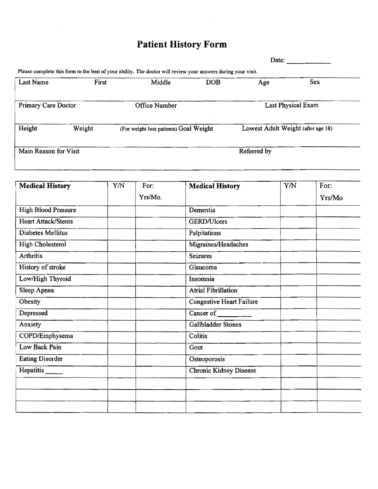# **Patient History Form**

|                       |       |                                                                                                                         |            | Date:                              |                           |
|-----------------------|-------|-------------------------------------------------------------------------------------------------------------------------|------------|------------------------------------|---------------------------|
| <b>Last Name</b>      | First | Please complete this form to the best of your ability. The doctor will review your answers during your visit.<br>Middle | <b>DOB</b> | Age                                | <b>Sex</b>                |
| Primary Care Doctor   |       | <b>Office Number</b>                                                                                                    |            |                                    | <b>Last Physical Exam</b> |
| Height<br>Weight      |       | (For weight loss patients) Goal Weight                                                                                  |            | Lowest Adult Weight (after age 18) |                           |
| Main Reason for Visit |       |                                                                                                                         |            | Referred by                        |                           |

| <b>Medical History</b>     | Y/N | For:    | <b>Medical History</b>          | YN | For:   |
|----------------------------|-----|---------|---------------------------------|----|--------|
|                            |     | Yrs/Mo. |                                 |    | Yrs/Mo |
| <b>High Blood Pressure</b> |     |         | Dementia                        |    |        |
| <b>Heart Attack/Stents</b> |     |         | GERD/Ulcers                     |    |        |
| Diabetes Mellitus          |     |         | Palpitations                    |    |        |
| <b>High Cholesterol</b>    |     |         | Migraines/Headaches             |    |        |
| <b>Arthritis</b>           |     |         | <b>Seizures</b>                 |    |        |
| History of stroke          |     |         | Glaucoma                        |    |        |
| Low/High Thyroid           |     |         | Insomnia                        |    |        |
| Sleep Apnea                |     |         | <b>Atrial Fibrillation</b>      |    |        |
| Obesity                    |     |         | <b>Congestive Heart Failure</b> |    |        |
| Depressed                  |     |         | Cancer of                       |    |        |
| Anxiety                    |     |         | Gallbladder Stones              |    |        |
| COPD/Emphysema             |     |         | Colitis                         |    |        |
| Low Back Pain              |     |         | Gout                            |    |        |
| <b>Eating Disorder</b>     |     |         | Osteoporosis                    |    |        |
| Hepatitis                  |     |         | <b>Chronic Kidney Disease</b>   |    |        |
|                            |     |         |                                 |    |        |
|                            |     |         |                                 |    |        |
|                            |     |         |                                 |    |        |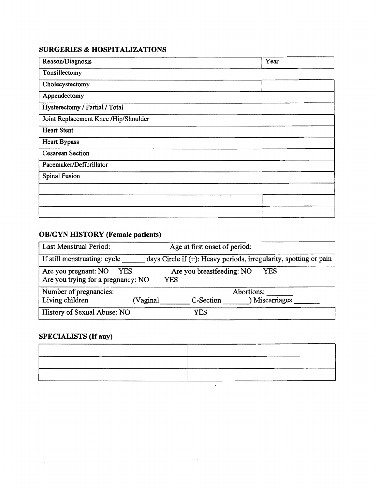### **SURGERIES & HOSPITALIZATIONS**

 $\sim$ 

| Reason/Diagnosis                     | Year |
|--------------------------------------|------|
| Tonsillectomy                        |      |
| Cholecystectomy                      |      |
| Appendectomy                         |      |
| Hysterectomy / Partial / Total       |      |
| Joint Replacement Knee /Hip/Shoulder |      |
| <b>Heart Stent</b>                   |      |
| Heart Bypass                         |      |
| <b>Cesarean Section</b>              |      |
| Pacemaker/Defibrillator              |      |
| <b>Spinal Fusion</b>                 |      |
|                                      |      |
|                                      |      |
|                                      |      |

### **OB/GYN HISTORY (Female patients)**

| <b>Last Menstrual Period:</b>                                     |          | Age at first onset of period:           |                                                                      |
|-------------------------------------------------------------------|----------|-----------------------------------------|----------------------------------------------------------------------|
| If still menstruating: cycle                                      |          |                                         | days Circle if $(+)$ : Heavy periods, irregularity, spotting or pain |
| Are you pregnant: NO<br>YES<br>Are you trying for a pregnancy: NO |          | Are you breastfeeding: NO<br><b>YES</b> | YES                                                                  |
| Number of pregnancies:                                            |          |                                         | Abortions:                                                           |
| Living children                                                   | (Vaginal | C-Section                               | ) Miscarriages                                                       |
| History of Sexual Abuse: NO                                       |          | YES                                     |                                                                      |

### **SPECIALISTS (If any)**

 $\mathcal{A}^{\pm}$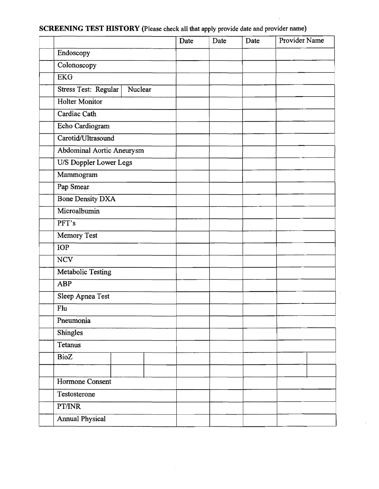## SCREENING TEST **HISTORY** (Please check all that apply provide date and provider name)

|                           |                      | Date | Date | Date | Provider Name |
|---------------------------|----------------------|------|------|------|---------------|
| Endoscopy                 |                      |      |      |      |               |
| Colonoscopy               |                      |      |      |      |               |
| <b>EKG</b>                |                      |      |      |      |               |
| Stress Test: Regular      | Nuclear              |      |      |      |               |
| Holter Monitor            |                      |      |      |      |               |
| Cardiac Cath              |                      |      |      |      |               |
| Echo Cardiogram           |                      |      |      |      |               |
| Carotid/Ultrasound        |                      |      |      |      |               |
| Abdominal Aortic Aneurysm |                      |      |      |      |               |
| U/S Doppler Lower Legs    |                      |      |      |      |               |
| Mammogram                 |                      |      |      |      |               |
| Pap Smear                 |                      |      |      |      |               |
| <b>Bone Density DXA</b>   | $\ddot{\phantom{a}}$ |      |      |      |               |
| Microalbumin              |                      |      |      |      |               |
| PFT's                     |                      |      |      |      |               |
| Memory Test               |                      |      |      |      |               |
| IOP                       |                      |      |      |      |               |
| <b>NCV</b>                |                      |      |      |      |               |
| Metabolic Testing         |                      |      |      |      |               |
| ABP                       |                      |      |      |      |               |
| Sleep Apnea Test          |                      |      |      |      |               |
| Flu                       |                      |      |      |      |               |
| Pneumonia                 |                      |      |      |      |               |
| Shingles                  |                      |      |      |      |               |
| Tetanus                   |                      |      |      |      |               |
| BioZ                      |                      |      |      |      |               |
|                           |                      |      |      |      |               |
| Hormone Consent           |                      |      |      |      |               |
| Testosterone              |                      |      |      |      |               |
| PT/INR                    |                      |      |      |      |               |
| <b>Annual Physical</b>    |                      |      |      |      |               |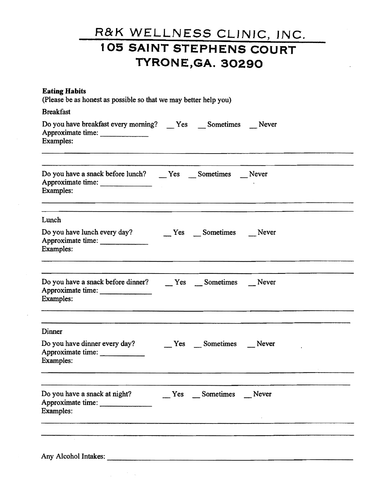| <b>Eating Habits</b><br>(Please be as honest as possible so that we may better help you)                      |  |                     |  |  |  |  |
|---------------------------------------------------------------------------------------------------------------|--|---------------------|--|--|--|--|
| <b>Breakfast</b>                                                                                              |  |                     |  |  |  |  |
| Do you have breakfast every morning? ___ Yes ___ Sometimes ___ Never<br>Approximate time:<br><b>Examples:</b> |  |                     |  |  |  |  |
|                                                                                                               |  |                     |  |  |  |  |
| Approximate time:<br>Examples:                                                                                |  |                     |  |  |  |  |
| Lunch                                                                                                         |  |                     |  |  |  |  |
| Do you have lunch every day? Never Sometimes Never<br>Approximate time:<br>Examples:                          |  |                     |  |  |  |  |
|                                                                                                               |  |                     |  |  |  |  |
| Approximate time:<br>Examples:                                                                                |  |                     |  |  |  |  |
| Dinner                                                                                                        |  |                     |  |  |  |  |
| Do you have dinner every day?<br>Approximate time:<br>Examples:                                               |  | Ves Sometimes Never |  |  |  |  |
|                                                                                                               |  |                     |  |  |  |  |
| Do you have a snack at night?<br>Approximate time:<br><b>Examples:</b>                                        |  | Yes Sometimes Never |  |  |  |  |
|                                                                                                               |  |                     |  |  |  |  |
|                                                                                                               |  |                     |  |  |  |  |
| Any Alcohol Intakes:                                                                                          |  |                     |  |  |  |  |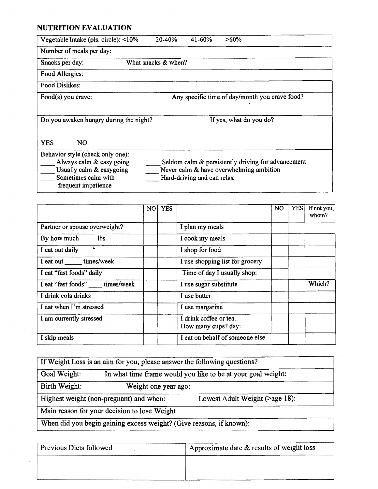### **NUTRITION EVALUATION**

| Vegetable Intake (pls. circle): <10%                              | $20 - 40%$                                     | 41-60% | >60%                                                                                          |  |
|-------------------------------------------------------------------|------------------------------------------------|--------|-----------------------------------------------------------------------------------------------|--|
| Number of meals per day:                                          |                                                |        |                                                                                               |  |
| Snacks per day:                                                   | What snacks & when?                            |        |                                                                                               |  |
| Food Allergies:                                                   |                                                |        |                                                                                               |  |
| <b>Food Dislikes:</b>                                             |                                                |        |                                                                                               |  |
| Food(s) you crave:                                                | Any specific time of day/month you crave food? |        |                                                                                               |  |
|                                                                   |                                                |        |                                                                                               |  |
| Do you awaken hungry during the night?<br>If yes, what do you do? |                                                |        |                                                                                               |  |
| NO.<br><b>YES</b>                                                 |                                                |        |                                                                                               |  |
| Behavior style (check only one):<br>Always calm & easy going      |                                                |        | Seldom calm & persistently driving for advancement<br>Never calm & have overwhelming ambition |  |

|                               | NO. | <b>YES</b> |                                               | NO. | <b>YES</b> | If not you,<br>whom? |
|-------------------------------|-----|------------|-----------------------------------------------|-----|------------|----------------------|
| Partner or spouse overweight? |     |            | I plan my meals                               |     |            |                      |
| lbs.<br>By how much           |     |            | I cook my meals                               |     |            |                      |
| I eat out daily               |     |            | I shop for food                               |     |            |                      |
| I eat out ______ times/week   |     |            | I use shopping list for grocery               |     |            |                      |
| I eat "fast foods" daily      |     |            | Time of day I usually shop:                   |     |            |                      |
| I eat "fast foods" times/week |     |            | I use sugar substitute                        |     |            | Which?               |
| I drink cola drinks           |     |            | I use butter                                  |     |            |                      |
| I eat when I'm stressed       |     |            | I use margarine                               |     |            |                      |
| I am currently stressed       |     |            | I drink coffee or tea.<br>How many cups? day: |     |            |                      |
| I skip meals                  |     |            | I eat on behalf of someone else               |     |            |                      |

|                                                                     | If Weight Loss is an aim for you, please answer the following questions? |                                |  |  |
|---------------------------------------------------------------------|--------------------------------------------------------------------------|--------------------------------|--|--|
| Goal Weight:                                                        | In what time frame would you like to be at your goal weight:             |                                |  |  |
| Birth Weight:                                                       | Weight one year ago:                                                     |                                |  |  |
|                                                                     | Highest weight (non-pregnant) and when:                                  | Lowest Adult Weight (>age 18): |  |  |
|                                                                     | Main reason for your decision to lose Weight                             |                                |  |  |
| When did you begin gaining excess weight? (Give reasons, if known): |                                                                          |                                |  |  |

| Previous Diets followed | Approximate date $\&$ results of weight loss |  |  |
|-------------------------|----------------------------------------------|--|--|
|                         |                                              |  |  |
|                         |                                              |  |  |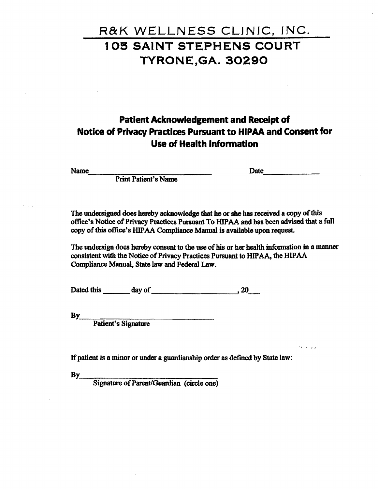## **Patient Acknowledgement and Receipt of Notice of Privacy Practices Pursuant to HIPAA and Consent for Use of Health Information**

Nmne~\_\_~~\_\_ \_\_\_\_\_\_\_\_\_\_\_ Date,\_\_\_\_\_

'I • "

Print Patient's Name

The undersigned does hereby acknowledge that he or she has received a copy of this office's Notice of Privacy Practices Pursuant To HIPAA and has been advised that a full copy of this office's HIPAA Compliance Manual is available upon request.

The undersign does hereby consent to the use of his or her health information in a manner consistent with the Notice of Privacy Practices Pursuant to HIPAA, the HIPAA Compliance Manual, State law and Federal Law.

Dated this \_\_\_day of\_\_\_\_\_\_\_\_--"'. 20\_

Patient's Signature

If patient is a minor or under a guardianship order as defined by State law:

By<br>Signature of Parent/Guardian (circle one)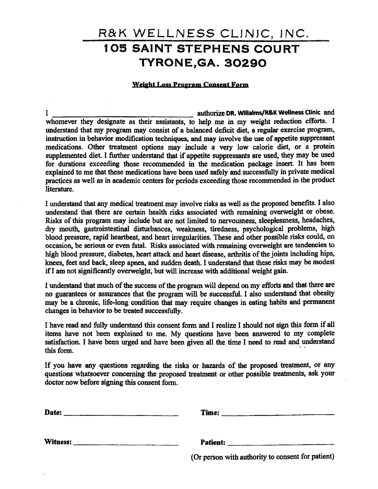### Weight Loss Program Consent Form

I authorize DR. Willalms/R&K Wellness Clinic and authorize DR. Willalms/R&K Wellness Clinic and whomever they designate as their assistants, to help me in my weight reduction efforts. I understand that my program may consist of a balanced deficit diet, a regular exercise program, instruction in behavior modification techniques, and may involve the use of appetite suppressant medications. Other treatment options may include a very low calorie diet, or a protein supplemented diet. I further understand that if appetite suppressants are used, they may be used for durations exceeding those recommended in the medication package insert. It has been explained to me that these medications have been used safely and successfully in private medical practices as well as in academic centers for periods exceeding those recommended in the product literature.

I understand that any medical treatment may involve. risks as well as the proposed benefits. I also understand that there are certain health risks associated with remaining overweight or obese. Risks of this program may include but are not limited to nervousness, sleeplessness, headaches, dry mouth, gastrointestinal disturbances, weakness, tiredness, psychological problems, high blood pressure, rapid heartbeat, and heart irregularities. These and other possible risks could, on occasion, be serious or even fatal. Risks associated with remaining overweight are tendencies to high blood pressure, diabetes, heart attack and heart disease, arthritis of the joints including hips, knees, feet and back, sleep apnea, and sudden death. I understand that these risks may be modest ifI am not significantly overweight, but will increase with additional weight gain.

I understand that much of the success of the program will depend on my efforts and that there are no guarantees or assurances that the program will be successful. I also understand that obesity may be a chronic, life-long condition that may require changes in eating habits and permanent changes in behavior to be treated successfully.

I have read and fully understand this consent form and I realize I should not sign this fonn if all items have not been explained to me. My questions have been answered to my complete satisfaction. I have been urged and have been given all the time I need to read and understand this form.

If you have any questions regarding the risks or hazards of the proposed treatment, or any questions whatsoever concerning the proposed treatment or other possible treatments, ask your doctor now before signing this consent form.

Date: \_\_\_\_\_\_\_\_\_\_\_\_\_\_\_ Time: \_\_\_\_\_\_\_\_\_\_\_\_\_\_\_\_\_\_\_\_\_\_\_\_\_

Witness: \_\_\_\_\_\_\_\_\_\_\_\_\_ Patient: \_\_\_\_\_\_\_\_\_\_\_\_\_\_\_\_\_\_\_\_\_\_

(Or person with authority to consent for patient)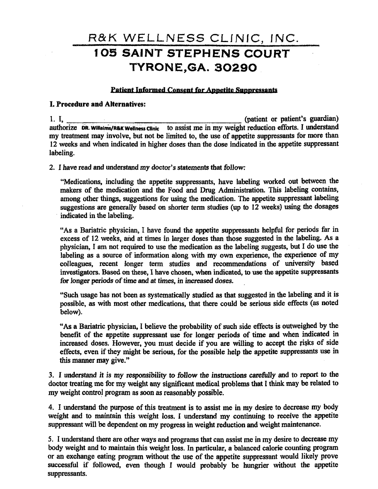#### Patient Informed Consent for Appetite Suppressants

#### I. Procedure and Alternatives:

1. I,  $\frac{1}{2}$  (patient or patient's guardian) authorize DR. Willaims/R&K Wellness Clinic to assist me in my weight reduction efforts. I understand my treatment may involve, but not be limited to, the use of appetite suppressants for more than 12 weeks and when indicated in higher doses than the dose indicated in the appetite suppressant labeling.

2. I have read and understand my doctor's statements that follow:

"Medications, including the appetite suppressants, have labeling worked out between the makers of the medication and the Food and Drug Administration. This labeling contains, among other things, suggestions for using the medication. The appetite suppressant labeling suggestions are generally based on shorter term studies (up to 12 weeks) using the dosages indicated in the labeling.

"As a Bariatric physician, I have found the appetite suppressants helpful for periods far in excess of 12 weeks, and at times in larger doses than those suggested in the labeling. As a physician, I am not required to use the medication as the labeling suggests, but I do use the labeling as a source of information along with my own experience, the experience of my colleagues, recent longer term studies and recommendations of university based investigators. Based on these, 1 have chosen, when indicated, to use the appetite suppressants for longer periods of time and at times, in increased doses.

"Such usage has not been as systematically studied as that suggested in the labeling and it is possible, as with most other medications, that there could be serious side effects (as noted below).

"As a Bariatric physician, I believe the probability of such side effects is outweighed by the benefit of the appetite suppressant use for longer periods of time and when indicated in increased doses. However, you must decide if you are willing to accept the risks of side effects, even if they might be serious, for the possible help the appetite suppressants use in this manner may give."

3. I understand it is my responsibility to follow the instructions carefully and to report to the doctor treating me for my weight any significant medical problems that I think may be related to my weight control program as soon as reasonably possible.

4. I understand the purpose of this treatment is to assist me in my desire to decrease my body weight and to maintain this weight loss. I understand my continuing to receive the appetite suppressant will be dependent on my progress in weight reduction and weight maintenance.

5. I understand there are other ways and programs that can assist me in my desire to decrease my body weight and to maintain this weight loss. In particular, a balanced calorie counting program or an exchange eating program without the use of the appetite suppressant would likely prove successful if followed, even though I would probably be hungrier without the appetite suppressants.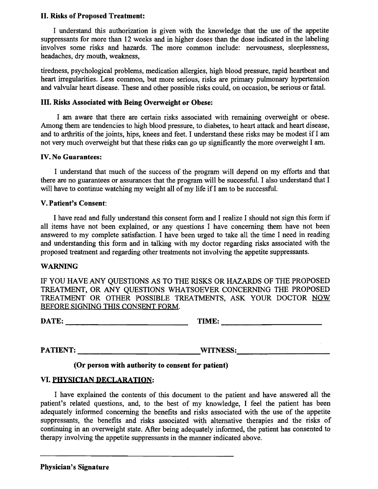### II. Risks of Proposed Treatment:

I understand this authorization is given with the knowledge that the use of the appetite suppressants for more than 12 weeks and in higher doses than the dose indicated in the labeling involves some risks and hazards. The more common include: nervousness, sleeplessness, headaches; dry mouth, weakness,

tiredness, psychological problems, medication allergies, high blood pressure, rapid heartbeat and heart irregularities. Less common, but more serious, risks are primary pulmonary hypertension and valvular heart disease. These and other possible risks could, on occasion, be serious or fatal.

### III. Risks Associated with Being Overweight or Obese:

I am aware that there are certain risks associated with remaining overweight or obese. Among them are tendencies to high blood pressure, to diabetes, to heart attack and heart disease, and to arthritis of the joints, hips, knees and feet. I understand these risks may be modest if I am not very much overweight but that these risks can go up significantly the more overweight I am.

### IV. No Guarantees:

I understand that much of the success of the program will depend on my efforts and that there are no guarantees or assurances that the program will be successful. I also understand that I will have to continue watching my weight all of my life if I am to be successful.

### V. Patient's Consent:

I have read and fully understand this consent form and I realize I should not sign this form if all items have not been explained, or any questions I have concerning them have not been answered to my complete satisfaction. I have been urged to take all the time I need in reading and understanding this form and in talking with my doctor regarding risks associated with the proposed treatment and regarding other treatments not involving the appetite suppressants.

#### WARNING

IF YOU HAVE ANY QUESTIONS AS TO THE RISKS OR HAZARDS OF THE PROPOSED TREATMENT, OR ANY QUESTIONS WHATSOEVER CONCERNING THE PROPOSED TREATMENT OR OTHER POSSIBLE TREATMENTS, ASK YOUR DOCTOR NOW BEFORE SIGNING THIS CONSENT FORM.

DATE: \_\_\_\_\_\_\_\_\_\_\_\_\_\_\_\_\_\_\_\_\_\_\_ TIME: \_\_\_\_\_\_\_\_\_\_\_\_\_\_\_\_

PATIENT: WITNESS:

### (Or person with authority to consent for patient)

### VI. PHYSICIAN DECLARATION:

I have explained the contents of this document to the patient and have answered all the patient's related questions, and, to the best of my knowledge, I feel the patient has been adequately informed concerning the benefits and risks associated with the use of the appetite suppressants, the benefits and risks associated with alternative therapies and the risks of continuing in an overweight state. After being adequately informed, the patient has consented to therapy involving the appetite suppressants in the manner indicated above.